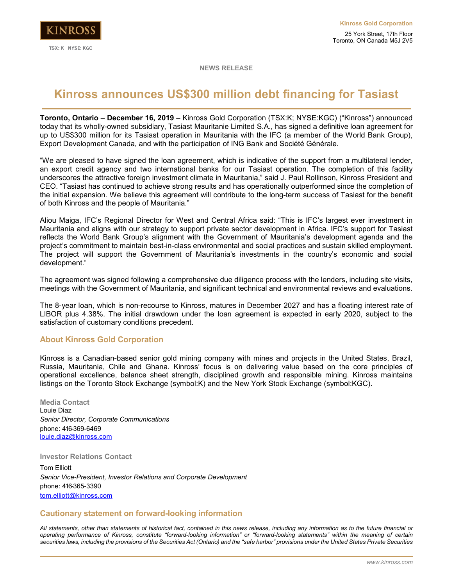

**NEWS RELEASE**

## **Kinross announces US\$300 million debt financing for Tasiast**

**Toronto, Ontario** – **December 16, 2019** – Kinross Gold Corporation (TSX:K; NYSE:KGC) ("Kinross") announced today that its wholly-owned subsidiary, Tasiast Mauritanie Limited S.A., has signed a definitive loan agreement for up to US\$300 million for its Tasiast operation in Mauritania with the IFC (a member of the World Bank Group), Export Development Canada, and with the participation of ING Bank and Société Générale.

"We are pleased to have signed the loan agreement, which is indicative of the support from a multilateral lender, an export credit agency and two international banks for our Tasiast operation. The completion of this facility underscores the attractive foreign investment climate in Mauritania," said J. Paul Rollinson, Kinross President and CEO. "Tasiast has continued to achieve strong results and has operationally outperformed since the completion of the initial expansion. We believe this agreement will contribute to the long-term success of Tasiast for the benefit of both Kinross and the people of Mauritania."

Aliou Maiga, IFC's Regional Director for West and Central Africa said: "This is IFC's largest ever investment in Mauritania and aligns with our strategy to support private sector development in Africa. IFC's support for Tasiast reflects the World Bank Group's alignment with the Government of Mauritania's development agenda and the project's commitment to maintain best-in-class environmental and social practices and sustain skilled employment. The project will support the Government of Mauritania's investments in the country's economic and social development."

The agreement was signed following a comprehensive due diligence process with the lenders, including site visits, meetings with the Government of Mauritania, and significant technical and environmental reviews and evaluations.

The 8-year loan, which is non-recourse to Kinross, matures in December 2027 and has a floating interest rate of LIBOR plus 4.38%. The initial drawdown under the loan agreement is expected in early 2020, subject to the satisfaction of customary conditions precedent.

## **About Kinross Gold Corporation**

Kinross is a Canadian-based senior gold mining company with mines and projects in the United States, Brazil, Russia, Mauritania, Chile and Ghana. Kinross' focus is on delivering value based on the core principles of operational excellence, balance sheet strength, disciplined growth and responsible mining. Kinross maintains listings on the Toronto Stock Exchange (symbol:K) and the New York Stock Exchange (symbol:KGC).

**Media Contact**  Louie Diaz *Senior Director, Corporate Communications* phone: 416-369-6469 [louie.diaz@kinross.com](mailto:louie.diaz@kinross.com)

**Investor Relations Contact**

Tom Elliott *Senior Vice-President, Investor Relations and Corporate Development*  phone: 416-365-3390 [tom.elliott@kinross.com](mailto:tom.elliott@kinross.com)

## **Cautionary statement on forward-looking information**

*All statements, other than statements of historical fact, contained in this news release, including any information as to the future financial or operating performance of Kinross, constitute "forward-looking information" or "forward-looking statements" within the meaning of certain securities laws, including the provisions of the Securities Act (Ontario) and the "safe harbor" provisions under the United States Private Securities*